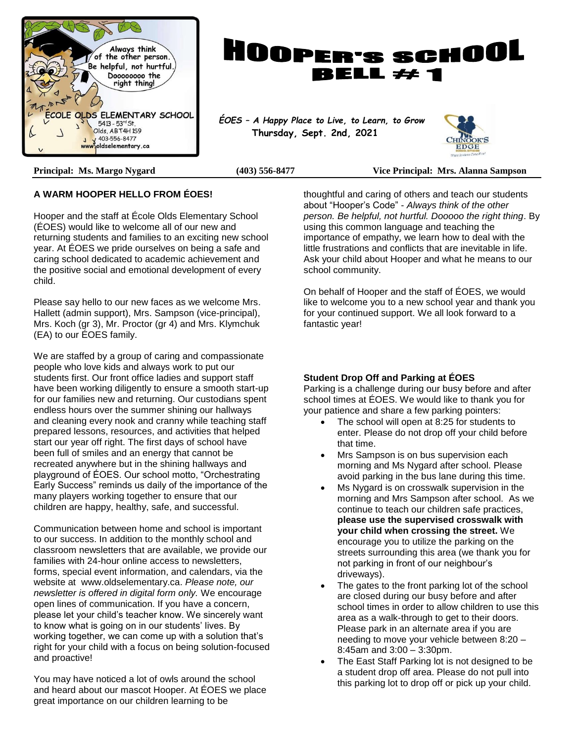



 **Thursday, Sept. 2nd, 2021**



**Principal: Ms. Margo Nygard (403) 556-8477 Vice Principal: Mrs. Alanna Sampson**

#### **A WARM HOOPER HELLO FROM ÉOES!**

Hooper and the staff at École Olds Elementary School (ÉOES) would like to welcome all of our new and returning students and families to an exciting new school year. At ÉOES we pride ourselves on being a safe and caring school dedicated to academic achievement and the positive social and emotional development of every child.

Please say hello to our new faces as we welcome Mrs. Hallett (admin support), Mrs. Sampson (vice-principal), Mrs. Koch (gr 3), Mr. Proctor (gr 4) and Mrs. Klymchuk (EA) to our ÉOES family.

We are staffed by a group of caring and compassionate people who love kids and always work to put our students first. Our front office ladies and support staff have been working diligently to ensure a smooth start-up for our families new and returning. Our custodians spent endless hours over the summer shining our hallways and cleaning every nook and cranny while teaching staff prepared lessons, resources, and activities that helped start our year off right. The first days of school have been full of smiles and an energy that cannot be recreated anywhere but in the shining hallways and playground of ÉOES. Our school motto, "Orchestrating Early Success" reminds us daily of the importance of the many players working together to ensure that our children are happy, healthy, safe, and successful.

Communication between home and school is important to our success. In addition to the monthly school and classroom newsletters that are available, we provide our families with 24-hour online access to newsletters, forms, special event information, and calendars, via the website at www.oldselementary.ca. *Please note, our newsletter is offered in digital form only.* We encourage open lines of communication. If you have a concern, please let your child's teacher know. We sincerely want to know what is going on in our students' lives. By working together, we can come up with a solution that's right for your child with a focus on being solution-focused and proactive!

You may have noticed a lot of owls around the school and heard about our mascot Hooper. At ÉOES we place great importance on our children learning to be

thoughtful and caring of others and teach our students about "Hooper's Code" - *Always think of the other person. Be helpful, not hurtful. Dooooo the right thing*. By using this common language and teaching the importance of empathy, we learn how to deal with the little frustrations and conflicts that are inevitable in life. Ask your child about Hooper and what he means to our school community.

On behalf of Hooper and the staff of ÉOES, we would like to welcome you to a new school year and thank you for your continued support. We all look forward to a fantastic year!

#### **Student Drop Off and Parking at ÉOES**

Parking is a challenge during our busy before and after school times at ÉOES. We would like to thank you for your patience and share a few parking pointers:

- The school will open at 8:25 for students to enter. Please do not drop off your child before that time.
- Mrs Sampson is on bus supervision each morning and Ms Nygard after school. Please avoid parking in the bus lane during this time.
- Ms Nygard is on crosswalk supervision in the morning and Mrs Sampson after school. As we continue to teach our children safe practices, **please use the supervised crosswalk with your child when crossing the street.** We encourage you to utilize the parking on the streets surrounding this area (we thank you for not parking in front of our neighbour's driveways).
- The gates to the front parking lot of the school are closed during our busy before and after school times in order to allow children to use this area as a walk-through to get to their doors. Please park in an alternate area if you are needing to move your vehicle between 8:20 – 8:45am and 3:00 – 3:30pm.
- The East Staff Parking lot is not designed to be a student drop off area. Please do not pull into this parking lot to drop off or pick up your child.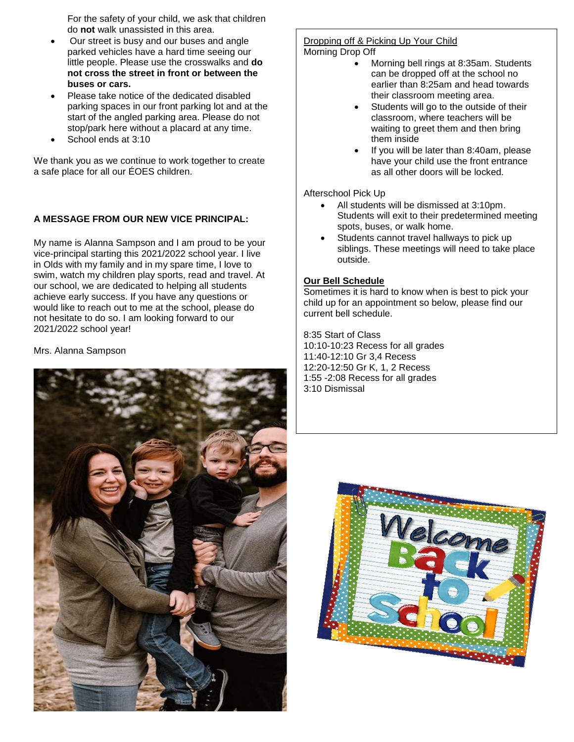For the safety of your child, we ask that children do **not** walk unassisted in this area.

- Our street is busy and our buses and angle parked vehicles have a hard time seeing our little people. Please use the crosswalks and **do not cross the street in front or between the buses or cars.**
- Please take notice of the dedicated disabled parking spaces in our front parking lot and at the start of the angled parking area. Please do not stop/park here without a placard at any time.
- School ends at 3:10

We thank you as we continue to work together to create a safe place for all our ÉOES children.

#### **A MESSAGE FROM OUR NEW VICE PRINCIPAL:**

My name is Alanna Sampson and I am proud to be your vice-principal starting this 2021/2022 school year. I live in Olds with my family and in my spare time, I love to swim, watch my children play sports, read and travel. At our school, we are dedicated to helping all students achieve early success. If you have any questions or would like to reach out to me at the school, please do not hesitate to do so. I am looking forward to our 2021/2022 school year!

Mrs. Alanna Sampson



#### Dropping off & Picking Up Your Child Morning Drop Off

- Morning bell rings at 8:35am. Students can be dropped off at the school no earlier than 8:25am and head towards their classroom meeting area.
- Students will go to the outside of their classroom, where teachers will be waiting to greet them and then bring them inside
- If you will be later than 8:40am, please have your child use the front entrance as all other doors will be locked.

#### Afterschool Pick Up

- All students will be dismissed at 3:10pm. Students will exit to their predetermined meeting spots, buses, or walk home.
- Students cannot travel hallways to pick up siblings. These meetings will need to take place outside.

#### **Our Bell Schedule**

Sometimes it is hard to know when is best to pick your child up for an appointment so below, please find our current bell schedule.

8:35 Start of Class 10:10-10:23 Recess for all grades 11:40-12:10 Gr 3,4 Recess 12:20-12:50 Gr K, 1, 2 Recess 1:55 -2:08 Recess for all grades 3:10 Dismissal

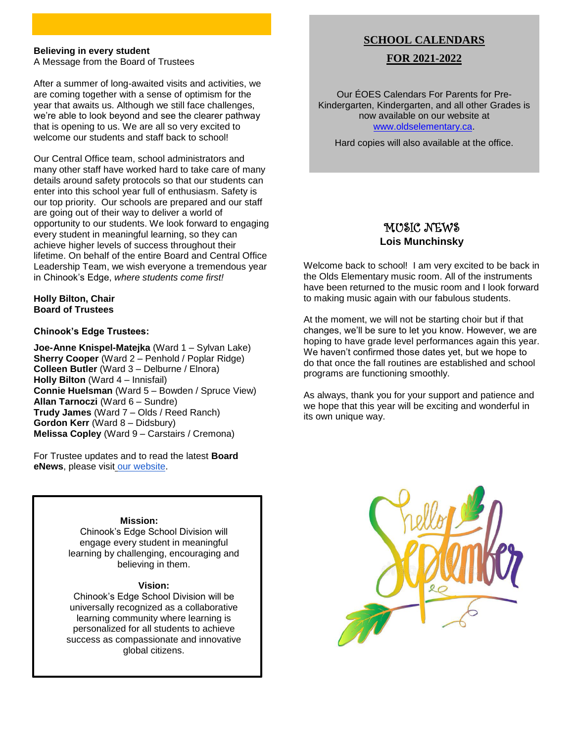#### **Believing in every student**

A Message from the Board of Trustees

After a summer of long-awaited visits and activities, we are coming together with a sense of optimism for the year that awaits us. Although we still face challenges, we're able to look beyond and see the clearer pathway that is opening to us. We are all so very excited to welcome our students and staff back to school!

Our Central Office team, school administrators and many other staff have worked hard to take care of many details around safety protocols so that our students can enter into this school year full of enthusiasm. Safety is our top priority. Our schools are prepared and our staff are going out of their way to deliver a world of opportunity to our students. We look forward to engaging every student in meaningful learning, so they can achieve higher levels of success throughout their lifetime. On behalf of the entire Board and Central Office Leadership Team, we wish everyone a tremendous year in Chinook's Edge, *where students come first!*

**Holly Bilton, Chair Board of Trustees**

#### **Chinook's Edge Trustees:**

**Joe-Anne Knispel-Matejka** (Ward 1 – Sylvan Lake) **Sherry Cooper** (Ward 2 – Penhold / Poplar Ridge) **Colleen Butler** (Ward 3 – Delburne / Elnora) **Holly Bilton** (Ward 4 – Innisfail) **Connie Huelsman** (Ward 5 – Bowden / Spruce View) **Allan Tarnoczi** (Ward 6 – Sundre) **Trudy James** (Ward 7 – Olds / Reed Ranch) **Gordon Kerr** (Ward 8 – Didsbury) **Melissa Copley** (Ward 9 – Carstairs / Cremona)

For Trustee updates and to read the latest **Board eNews**, please visi[t](https://www.cesd73.ca/Trustees%20at%20work%20for%20students.php) [our website.](https://www.cesd73.ca/Trustees%20at%20work%20for%20students.php)

#### **Mission:**

Chinook's Edge School Division will engage every student in meaningful learning by challenging, encouraging and believing in them.

#### **Vision:**

Chinook's Edge School Division will be universally recognized as a collaborative learning community where learning is personalized for all students to achieve success as compassionate and innovative global citizens.

#### **SCHOOL CALENDARS**

#### **FOR 2021-2022**

Our ÉOES Calendars For Parents for Pre-Kindergarten, Kindergarten, and all other Grades is now available on our website at [www.oldselementary.ca.](http://www.oldselementary.ca/)

Hard copies will also available at the office.

### MUSIC NEWS **Lois Munchinsky**

Welcome back to school! I am very excited to be back in the Olds Elementary music room. All of the instruments have been returned to the music room and I look forward to making music again with our fabulous students.

At the moment, we will not be starting choir but if that changes, we'll be sure to let you know. However, we are hoping to have grade level performances again this year. We haven't confirmed those dates yet, but we hope to do that once the fall routines are established and school programs are functioning smoothly.

As always, thank you for your support and patience and we hope that this year will be exciting and wonderful in its own unique way.

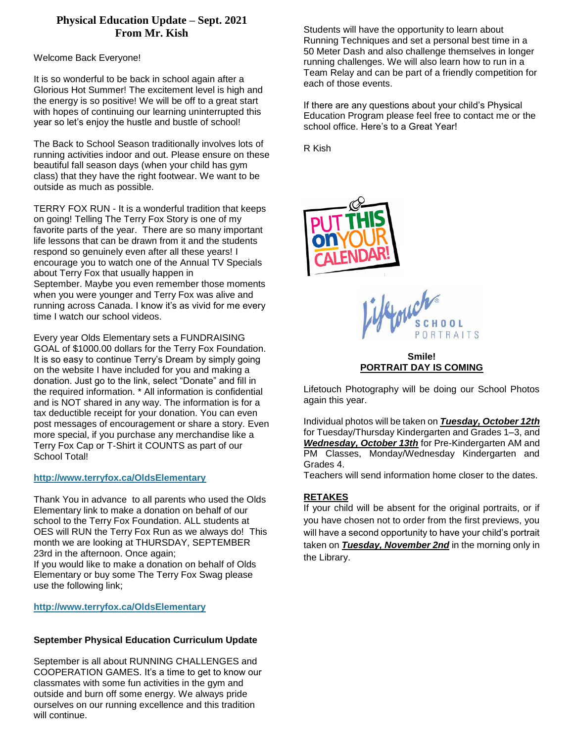### **Physical Education Update – Sept. 2021 From Mr. Kish**

Welcome Back Everyone!

It is so wonderful to be back in school again after a Glorious Hot Summer! The excitement level is high and the energy is so positive! We will be off to a great start with hopes of continuing our learning uninterrupted this year so let's enjoy the hustle and bustle of school!

The Back to School Season traditionally involves lots of running activities indoor and out. Please ensure on these beautiful fall season days (when your child has gym class) that they have the right footwear. We want to be outside as much as possible.

TERRY FOX RUN - It is a wonderful tradition that keeps on going! Telling The Terry Fox Story is one of my favorite parts of the year. There are so many important life lessons that can be drawn from it and the students respond so genuinely even after all these years! I encourage you to watch one of the Annual TV Specials about Terry Fox that usually happen in September. Maybe you even remember those moments when you were younger and Terry Fox was alive and running across Canada. I know it's as vivid for me every time I watch our school videos.

Every year Olds Elementary sets a FUNDRAISING GOAL of \$1000.00 dollars for the Terry Fox Foundation. It is so easy to continue Terry's Dream by simply going on the website I have included for you and making a donation. Just go to the link, select "Donate" and fill in the required information. \* All information is confidential and is NOT shared in any way. The information is for a tax deductible receipt for your donation. You can even post messages of encouragement or share a story. Even more special, if you purchase any merchandise like a Terry Fox Cap or T-Shirt it COUNTS as part of our School Total!

#### **<http://www.terryfox.ca/OldsElementary>**

Thank You in advance to all parents who used the Olds Elementary link to make a donation on behalf of our school to the Terry Fox Foundation. ALL students at OES will RUN the Terry Fox Run as we always do! This month we are looking at THURSDAY, SEPTEMBER 23rd in the afternoon. Once again;

If you would like to make a donation on behalf of Olds Elementary or buy some The Terry Fox Swag please use the following link;

#### **<http://www.terryfox.ca/OldsElementary>**

#### **September Physical Education Curriculum Update**

September is all about RUNNING CHALLENGES and COOPERATION GAMES. It's a time to get to know our classmates with some fun activities in the gym and outside and burn off some energy. We always pride ourselves on our running excellence and this tradition will continue.

Students will have the opportunity to learn about Running Techniques and set a personal best time in a 50 Meter Dash and also challenge themselves in longer running challenges. We will also learn how to run in a Team Relay and can be part of a friendly competition for each of those events.

If there are any questions about your child's Physical Education Program please feel free to contact me or the school office. Here's to a Great Year!

R Kish



lernich  $00L$ ORTRAITS

#### **Smile! PORTRAIT DAY IS COMING**

Lifetouch Photography will be doing our School Photos again this year.

Individual photos will be taken on *Tuesday, October 12th* for Tuesday/Thursday Kindergarten and Grades 1–3, and *Wednesday, October 13th* for Pre-Kindergarten AM and PM Classes, Monday/Wednesday Kindergarten and Grades 4.

Teachers will send information home closer to the dates.

#### **RETAKES**

If your child will be absent for the original portraits, or if you have chosen not to order from the first previews, you will have a second opportunity to have your child's portrait taken on *Tuesday, November 2nd* in the morning only in the Library.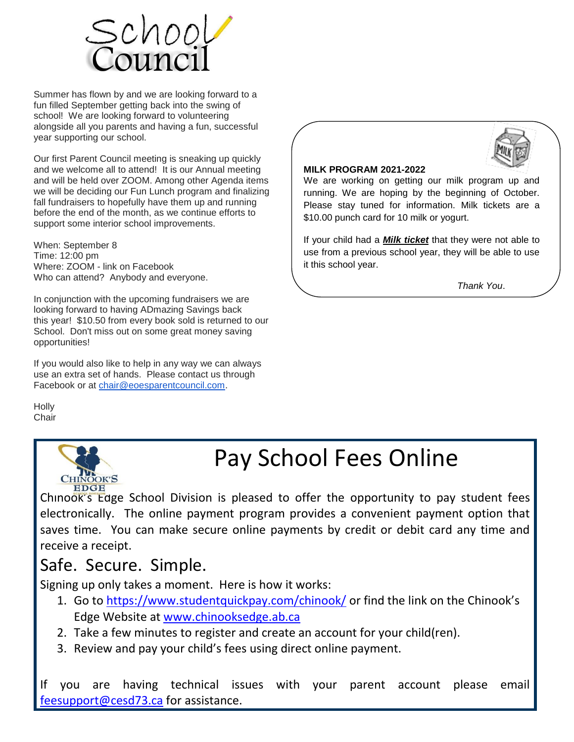

Summer has flown by and we are looking forward to a fun filled September getting back into the swing of school! We are looking forward to volunteering alongside all you parents and having a fun, successful year supporting our school.

Our first Parent Council meeting is sneaking up quickly and we welcome all to attend! It is our Annual meeting and will be held over ZOOM. Among other Agenda items we will be deciding our Fun Lunch program and finalizing fall fundraisers to hopefully have them up and running before the end of the month, as we continue efforts to support some interior school improvements.

When: September 8 Time: 12:00 pm Where: ZOOM - link on Facebook Who can attend? Anybody and everyone.

In conjunction with the upcoming fundraisers we are looking forward to having ADmazing Savings back this year! \$10.50 from every book sold is returned to our School. Don't miss out on some great money saving opportunities!

If you would also like to help in any way we can always use an extra set of hands. Please contact us through Facebook or at [chair@eoesparentcouncil.com.](mailto:chair@eoesparentcouncil.com)

**Holly Chair** 



# Pay School Fees Online

Chinook's Edge School Division is pleased to offer the opportunity to pay student fees electronically. The online payment program provides a convenient payment option that saves time. You can make secure online payments by credit or debit card any time and receive a receipt.

## Safe. Secure. Simple.

Signing up only takes a moment. Here is how it works:

- 1. Go to<https://www.studentquickpay.com/chinook/> or find the link on the Chinook's Edge Website at [www.chinooksedge.ab.ca](http://www.chinooksedge.ab.ca/)
- 2. Take a few minutes to register and create an account for your child(ren).
- 3. Review and pay your child's fees using direct online payment.

If you are having technical issues with your parent account please email [feesupport@cesd73.ca](mailto:feesupport@cesd73.ca) for assistance.



#### **MILK PROGRAM 2021-2022**

We are working on getting our milk program up and running. We are hoping by the beginning of October. Please stay tuned for information. Milk tickets are a \$10.00 punch card for 10 milk or yogurt.

If your child had a *Milk ticket* that they were not able to use from a previous school year, they will be able to use it this school year.

*Thank You*.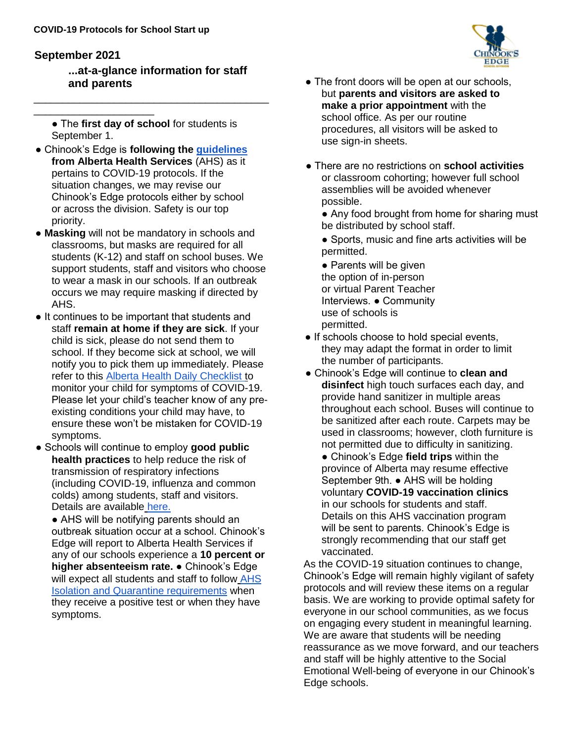### **September 2021**

\_\_\_\_\_\_\_\_\_\_\_\_\_\_\_\_\_\_\_\_\_

**...at-a-glance information for staff and parents**

● The **first day of school** for students is September 1.

\_\_\_\_\_\_\_\_\_\_\_\_\_\_\_\_\_\_\_\_\_\_\_\_\_\_\_\_\_\_\_\_\_\_\_\_\_\_\_\_\_

- Chinook's Edge is **following the guidelines from Alberta Health Services** (AHS) as it pertains to COVID-19 protocols. If the situation changes, we may revise our Chinook's Edge protocols either by school or across the division. Safety is our top priority.
- **Masking** will not be mandatory in schools and classrooms, but masks are required for all students (K-12) and staff on school buses. We support students, staff and visitors who choose to wear a mask in our schools. If an outbreak occurs we may require masking if directed by AHS.
- It continues to be important that students and staff **remain at home if they are sick**. If your child is sick, please do not send them to school. If they become sick at school, we will notify you to pick them up immediately. Please refer to this Alberta Health Daily Checklist to monitor your child for symptoms of COVID-19. Please let your child's teacher know of any preexisting conditions your child may have, to ensure these won't be mistaken for COVID-19 symptoms.
- Schools will continue to employ **good public health practices** to help reduce the risk of transmission of respiratory infections (including COVID-19, influenza and common colds) among students, staff and visitors. Details are available here.

• AHS will be notifying parents should an outbreak situation occur at a school. Chinook's Edge will report to Alberta Health Services if any of our schools experience a **10 percent or higher absenteeism rate.** ● Chinook's Edge will expect all students and staff to follow AHS Isolation and Quarantine requirements when they receive a positive test or when they have symptoms.

- The front doors will be open at our schools, but **parents and visitors are asked to make a prior appointment** with the school office. As per our routine procedures, all visitors will be asked to use sign-in sheets.
- There are no restrictions on **school activities**  or classroom cohorting; however full school assemblies will be avoided whenever possible.

• Any food brought from home for sharing must be distributed by school staff.

• Sports, music and fine arts activities will be permitted.

• Parents will be given the option of in-person or virtual Parent Teacher Interviews. ● Community use of schools is permitted.

- If schools choose to hold special events, they may adapt the format in order to limit the number of participants.
- Chinook's Edge will continue to **clean and disinfect** high touch surfaces each day, and provide hand sanitizer in multiple areas throughout each school. Buses will continue to be sanitized after each route. Carpets may be used in classrooms; however, cloth furniture is not permitted due to difficulty in sanitizing.
	- Chinook's Edge **field trips** within the province of Alberta may resume effective September 9th. ● AHS will be holding voluntary **COVID-19 vaccination clinics**  in our schools for students and staff. Details on this AHS vaccination program will be sent to parents. Chinook's Edge is strongly recommending that our staff get vaccinated.

As the COVID-19 situation continues to change, Chinook's Edge will remain highly vigilant of safety protocols and will review these items on a regular basis. We are working to provide optimal safety for everyone in our school communities, as we focus on engaging every student in meaningful learning. We are aware that students will be needing reassurance as we move forward, and our teachers and staff will be highly attentive to the Social Emotional Well-being of everyone in our Chinook's Edge schools.